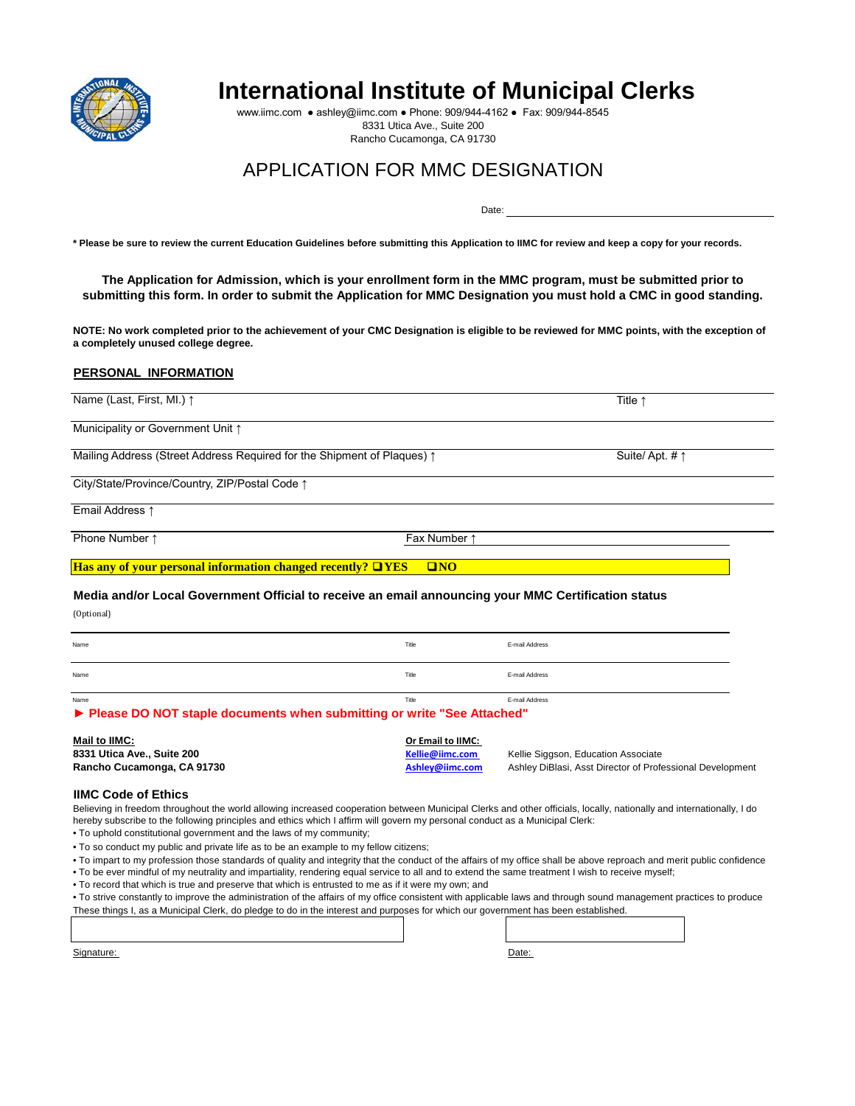

# **International Institute of Municipal Clerks**

Date:

www.iimc.com ● ashley@iimc.com ● Phone: 909/944-4162 ● Fax: 909/944-8545 8331 Utica Ave., Suite 200 Rancho Cucamonga, CA 91730

## APPLICATION FOR MMC DESIGNATION

**\* Please be sure to review the current Education Guidelines before submitting this Application to IIMC for review and keep a copy for your records.** 

**The Application for Admission, which is your enrollment form in the MMC program, must be submitted prior to submitting this form. In order to submit the Application for MMC Designation you must hold a CMC in good standing.** 

**NOTE: No work completed prior to the achievement of your CMC Designation is eligible to be reviewed for MMC points, with the exception of a completely unused college degree.** 

#### **PERSONAL INFORMATION**

| Name (Last, First, MI.) ↑                                                                           |                                    | Title $\uparrow$                                          |
|-----------------------------------------------------------------------------------------------------|------------------------------------|-----------------------------------------------------------|
| Municipality or Government Unit 1                                                                   |                                    |                                                           |
| Mailing Address (Street Address Required for the Shipment of Plaques) 1                             |                                    | Suite/Apt. # $\uparrow$                                   |
| City/State/Province/Country, ZIP/Postal Code 1                                                      |                                    |                                                           |
| Email Address 1                                                                                     |                                    |                                                           |
| Phone Number 1                                                                                      | Fax Number 1                       |                                                           |
| Has any of your personal information changed recently? $\Box$ YES                                   | $\square$ NO                       |                                                           |
| Media and/or Local Government Official to receive an email announcing your MMC Certification status |                                    |                                                           |
| (Optional)                                                                                          |                                    |                                                           |
| Name                                                                                                | Title                              | E-mail Address                                            |
| Name                                                                                                | Title                              | E-mail Address                                            |
| Name<br>▶ Please DO NOT staple documents when submitting or write "See Attached"                    | Title                              | E-mail Address                                            |
| Mail to IIMC:                                                                                       | Or Email to IIMC:                  |                                                           |
| 8331 Utica Ave., Suite 200<br>Rancho Cucamonga, CA 91730                                            | Kellie@iimc.com<br>Ashley@iimc.com | Kellie Siggson, Education Associate                       |
|                                                                                                     |                                    | Ashley DiBlasi, Asst Director of Professional Development |

#### **IIMC Code of Ethics**

Believing in freedom throughout the world allowing increased cooperation between Municipal Clerks and other officials, locally, nationally and internationally, I do hereby subscribe to the following principles and ethics which I affirm will govern my personal conduct as a Municipal Clerk:

• To uphold constitutional government and the laws of my community;

• To so conduct my public and private life as to be an example to my fellow citizens;

• To impart to my profession those standards of quality and integrity that the conduct of the affairs of my office shall be above reproach and merit public confidence

• To be ever mindful of my neutrality and impartiality, rendering equal service to all and to extend the same treatment I wish to receive myself;

• To record that which is true and preserve that which is entrusted to me as if it were my own; and

• To strive constantly to improve the administration of the affairs of my office consistent with applicable laws and through sound management practices to produce These things I, as a Municipal Clerk, do pledge to do in the interest and purposes for which our government has been established.

Signature: Date: Date: Date: Date: Date: Date: Date: Date: Date: Date: Date: Date: Date: Date: Date: Date: Date: Date: Date: Date: Date: Date: Date: Date: Date: Date: Date: Date: Date: Date: Date: Date: Date: Date: Date: D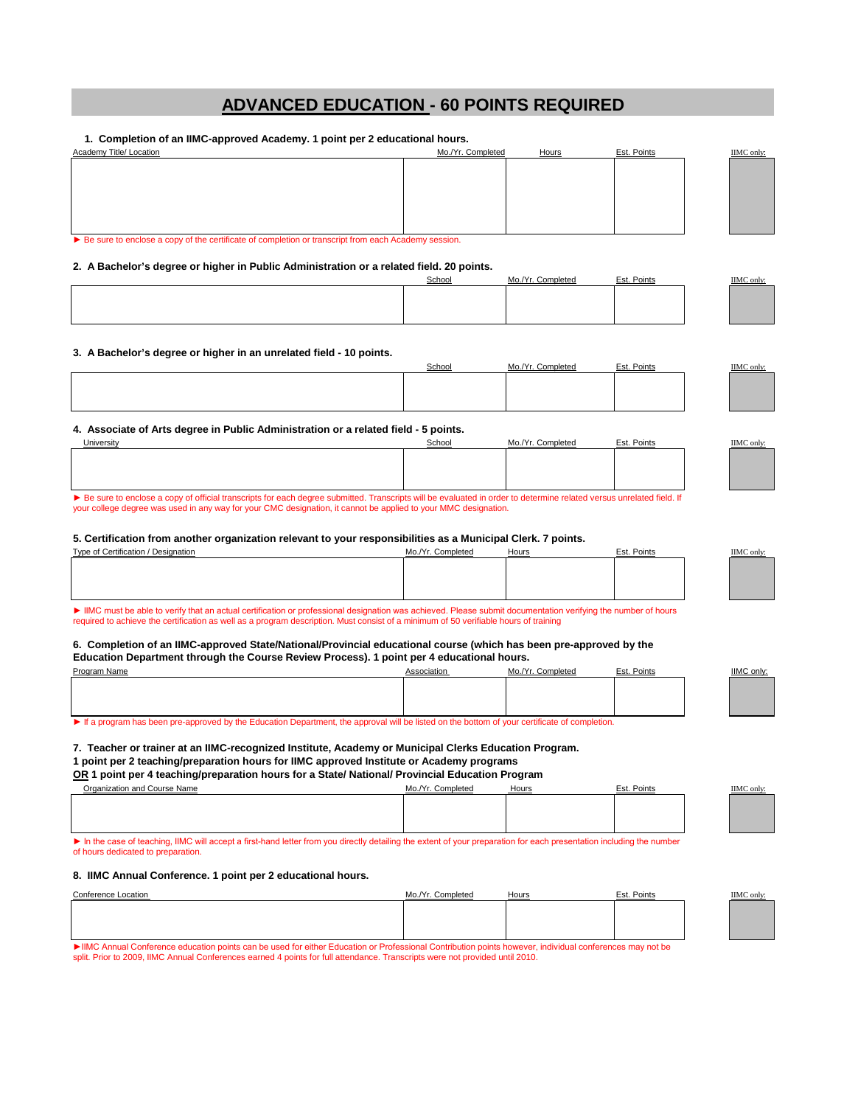## **ADVANCED EDUCATION - 60 POINTS REQUIRED**

 **1. Completion of an IIMC-approved Academy. 1 point per 2 educational hours.** 

Academy Title/ Location **Mo. Academy Title/ Location** Mo./Yr. Completed Hours Est. Points Est. Points IIMC only: ► Be sure to enclose a copy of the certificate of completion or transcript from each Academy session.

**2. A Bachelor's degree or higher in Public Administration or a related field. 20 points.** 

| School | Mo /Yr Completed | Est. Points | IIMC only: |
|--------|------------------|-------------|------------|
|        |                  |             |            |
|        |                  |             |            |
|        |                  |             |            |
|        |                  |             |            |

#### **3. A Bachelor's degree or higher in an unrelated field - 10 points.**

|  | $\mathbf{r}$ | . Points | <b>IIMC</b> only. |
|--|--------------|----------|-------------------|
|  |              |          |                   |
|  |              |          |                   |
|  |              |          |                   |
|  |              |          |                   |
|  |              |          |                   |

**4. Associate of Arts degree in Public Administration or a related field - 5 points.** 

| Jniversity                                                                                                                                                            | School | Mo./Yr. Completed | Est. Points | IIMC only: |  |
|-----------------------------------------------------------------------------------------------------------------------------------------------------------------------|--------|-------------------|-------------|------------|--|
|                                                                                                                                                                       |        |                   |             |            |  |
|                                                                                                                                                                       |        |                   |             |            |  |
|                                                                                                                                                                       |        |                   |             |            |  |
|                                                                                                                                                                       |        |                   |             |            |  |
| E Be sure to enclose a copy of official transcripts for each degree submitted. Transcripts will be evaluated in order to determine related versus unrelated field. If |        |                   |             |            |  |

your college degree was used in any way for your CMC designation, it cannot be applied to your MMC designation.

#### **5. Certification from another organization relevant to your responsibilities as a Municipal Clerk. 7 points.**

| Type of Certification / Designation | r. Completed<br>$M_0 Nr$ | Hours                                                                                                           | Points | <b>IMC</b> only: |
|-------------------------------------|--------------------------|-----------------------------------------------------------------------------------------------------------------|--------|------------------|
|                                     |                          |                                                                                                                 |        |                  |
|                                     |                          |                                                                                                                 |        |                  |
|                                     |                          |                                                                                                                 |        |                  |
|                                     |                          |                                                                                                                 |        |                  |
| .                                   |                          | the contract of the contract of the contract of the contract of the contract of the contract of the contract of |        |                  |

► IIMC must be able to verify that an actual certification or professional designation was achieved. Please submit documentation verifying the number of hours required to achieve the certification as well as a program description. Must consist of a minimum of 50 verifiable hours of training

**6. Completion of an IIMC-approved State/National/Provincial educational course (which has been pre-approved by the Education Department through the Course Review Process). 1 point per 4 educational hours.** 

| Program Name                                                                                                                                   | Association | Mo./Yr. Completed | Points |  | <b>IIMC only</b> |  |
|------------------------------------------------------------------------------------------------------------------------------------------------|-------------|-------------------|--------|--|------------------|--|
|                                                                                                                                                |             |                   |        |  |                  |  |
|                                                                                                                                                |             |                   |        |  |                  |  |
|                                                                                                                                                |             |                   |        |  |                  |  |
|                                                                                                                                                |             |                   |        |  |                  |  |
| • If a program has been pre-approved by the Education Department, the approval will be listed on the bottom of your certificate of completion. |             |                   |        |  |                  |  |

**7. Teacher or trainer at an IIMC-recognized Institute, Academy or Municipal Clerks Education Program.** 

**1 point per 2 teaching/preparation hours for IIMC approved Institute or Academy programs OR 1 point per 4 teaching/preparation hours for a State/ National/ Provincial Education Program** 

| <u>On</u> I point per 4 teaching/preparation hours for a otate/ national Frovincial Equeation Frogram |                   |       |             |                  |  |  |
|-------------------------------------------------------------------------------------------------------|-------------------|-------|-------------|------------------|--|--|
| <b>Organization and Course Name</b>                                                                   | Mo./Yr. Completed | Hours | Est. Points | <b>IIMC</b> only |  |  |
|                                                                                                       |                   |       |             |                  |  |  |
|                                                                                                       |                   |       |             |                  |  |  |
|                                                                                                       |                   |       |             |                  |  |  |
|                                                                                                       |                   |       |             |                  |  |  |

► In the case of teaching, IIMC will accept a first-hand letter from you directly detailing the extent of your preparation for each presentation including the number of hours dedicated to preparation.

#### **8. IIMC Annual Conference. 1 point per 2 educational hours.**

| Conference Location                                                                                                                                                                                                                                                 | Mo./Yr.<br>Completed | Hours                                                                                                           | Points<br>Est. | <b>HMC</b><br>' onlv |
|---------------------------------------------------------------------------------------------------------------------------------------------------------------------------------------------------------------------------------------------------------------------|----------------------|-----------------------------------------------------------------------------------------------------------------|----------------|----------------------|
|                                                                                                                                                                                                                                                                     |                      |                                                                                                                 |                |                      |
|                                                                                                                                                                                                                                                                     |                      |                                                                                                                 |                |                      |
|                                                                                                                                                                                                                                                                     |                      |                                                                                                                 |                |                      |
| the contract of the contract of the contract of the contract of the contract of the contract of the contract of the contract of the contract of the contract of the contract of the contract of the contract of the contract o<br>and the state of the state of the |                      | the contract of the contract of the contract of the contract of the contract of the contract of the contract of |                |                      |

IC Annual Conference education points can be used for either Education or Professional Contribution points however, individual conferences may not be split. Prior to 2009, IIMC Annual Conferences earned 4 points for full attendance. Transcripts were not provided until 2010.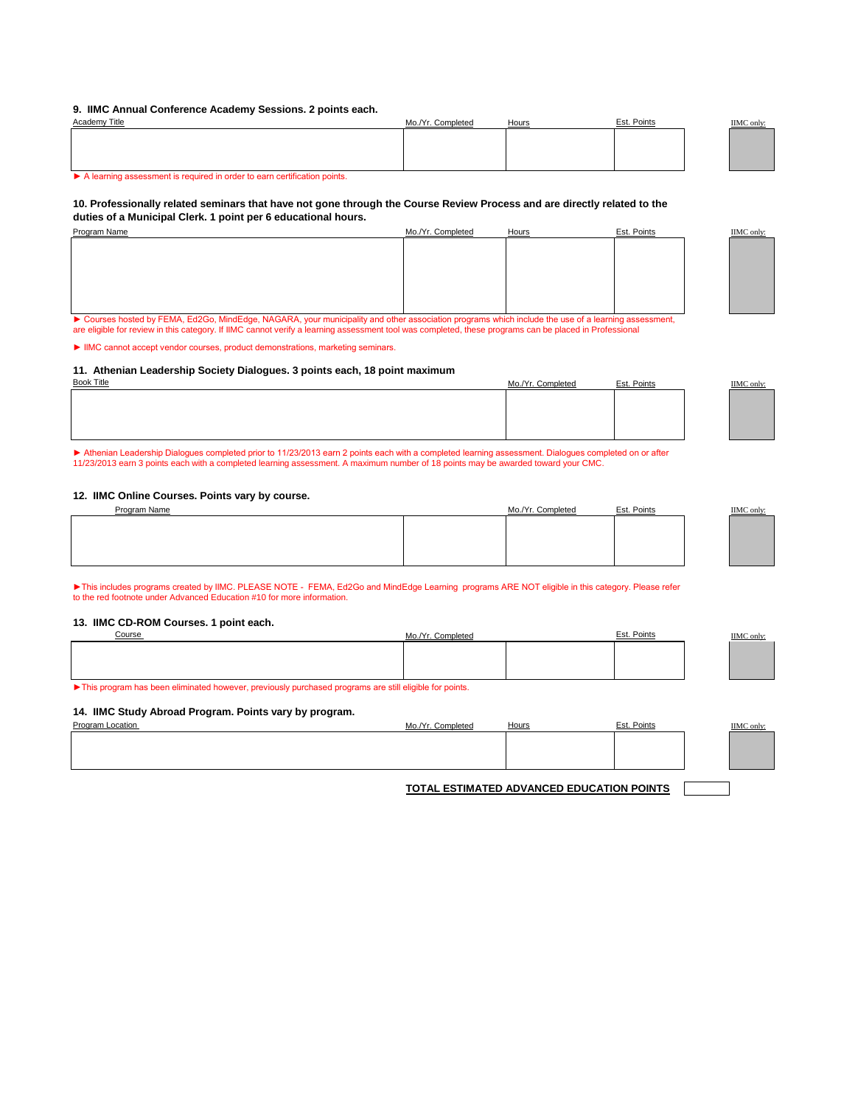#### **9. IIMC Annual Conference Academy Sessions. 2 points each.**

| Academy Title                                                            | Mo./Yr. Completed | Hours | Est. Points | <b>IIMC</b> only: |
|--------------------------------------------------------------------------|-------------------|-------|-------------|-------------------|
|                                                                          |                   |       |             |                   |
|                                                                          |                   |       |             |                   |
|                                                                          |                   |       |             |                   |
| A learning assessment is required in order to earn certification points. |                   |       |             |                   |

#### **10. Professionally related seminars that have not gone through the Course Review Process and are directly related to the duties of a Municipal Clerk. 1 point per 6 educational hours.**

| Program Name | Mo./Yr. Completed | <b>Hours</b> | Est. Points | <b>IIMC</b> only: |
|--------------|-------------------|--------------|-------------|-------------------|
|              |                   |              |             |                   |
|              |                   |              |             |                   |
|              |                   |              |             |                   |
|              |                   |              |             |                   |
|              |                   |              |             |                   |
|              |                   |              |             |                   |
|              |                   |              |             |                   |
|              |                   |              |             |                   |

► Courses hosted by FEMA, Ed2Go, MindEdge, NAGARA, your municipality and other association programs which include the use of a learning assessment, are eligible for review in this category. If IIMC cannot verify a learning assessment tool was completed, these programs can be placed in Professional

► IIMC cannot accept vendor courses, product demonstrations, marketing seminars.

#### **11. Athenian Leadership Society Dialogues. 3 points each, 18 point maximum**

| <b>Book Title</b> | Mo./Yr. Completed | Est. Points | IIMC only: |
|-------------------|-------------------|-------------|------------|
|                   |                   |             |            |
|                   |                   |             |            |
|                   |                   |             |            |
|                   |                   |             |            |
|                   |                   |             |            |

► Athenian Leadership Dialogues completed prior to 11/23/2013 earn 2 points each with a completed learning assessment. Dialogues completed on or after 11/23/2013 earn 3 points each with a completed learning assessment. A maximum number of 18 points may be awarded toward your CMC.

#### **12. IIMC Online Courses. Points vary by course.**

| Program Name | Mo./Yr. Completed | Est. Points | <b>IIMC</b> only: |
|--------------|-------------------|-------------|-------------------|
|              |                   |             |                   |
|              |                   |             |                   |
|              |                   |             |                   |
|              |                   |             |                   |
|              |                   |             |                   |

►This includes programs created by IIMC. PLEASE NOTE - FEMA, Ed2Go and MindEdge Learning programs ARE NOT eligible in this category. Please refer to the red footnote under Advanced Education #10 for more information.

#### **13. IIMC CD-ROM Courses. 1 point each.**

| Course | ، ۷۰ M<br>. `omniotor`<br>17 I V<br>יישורי | Points<br>Est. | IIMC only: |
|--------|--------------------------------------------|----------------|------------|
|        |                                            |                |            |
|        |                                            |                |            |
|        |                                            |                |            |
|        |                                            |                |            |

► This program has been eliminated however, previously purchased programs are still eligible for points.

#### **14. IIMC Study Abroad Program. Points vary by program.**

| Program<br>-ocation | `omplotor | Hours | Points<br>Est. | IIMC only:<br>$-$ |
|---------------------|-----------|-------|----------------|-------------------|
|                     |           |       |                |                   |
|                     |           |       |                |                   |
|                     |           |       |                |                   |
|                     |           |       |                |                   |

**TOTAL ESTIMATED ADVANCED EDUCATION POINTS**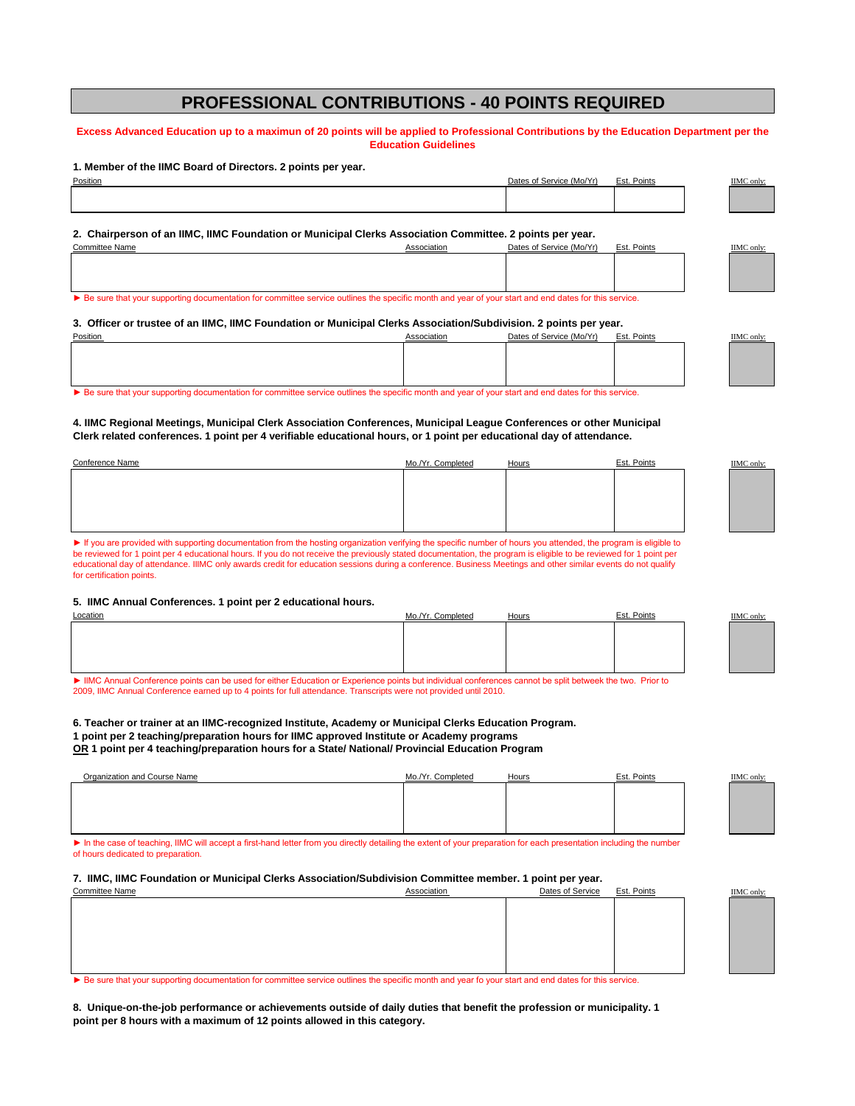### **PROFESSIONAL CONTRIBUTIONS - 40 POINTS REQUIRED**

#### **Excess Advanced Education up to a maximun of 20 points will be applied to Professional Contributions by the Education Department per the Education Guidelines**

#### **1. Member of the IIMC Board of Directors. 2 points per year.**

| ____<br>Position | $\frac{1}{2}$ Consine (Ma(Vr)<br>Dates. | <b>Pointe</b><br>=∼ | <b>IIMC</b> only |
|------------------|-----------------------------------------|---------------------|------------------|
|                  |                                         |                     |                  |
|                  |                                         |                     |                  |
|                  |                                         |                     |                  |

Committee Name **Association** Association Dates of Service (Mo/Yr) Est. Points IIMC only:

**2. Chairperson of an IIMC, IIMC Foundation or Municipal Clerks Association Committee. 2 points per year.**

▶ Be sure that your supporting documentation for committee service outlines the specific month and year of your start and end dates for this service.

#### **3. Officer or trustee of an IIMC, IIMC Foundation or Municipal Clerks Association/Subdivision. 2 points per year.**

| <b>Position</b>                                                                                                                                      | Associatior | Dates of Service (Mo/Yr) | Est. Points | IIMC only: |  |
|------------------------------------------------------------------------------------------------------------------------------------------------------|-------------|--------------------------|-------------|------------|--|
|                                                                                                                                                      |             |                          |             |            |  |
|                                                                                                                                                      |             |                          |             |            |  |
|                                                                                                                                                      |             |                          |             |            |  |
|                                                                                                                                                      |             |                          |             |            |  |
|                                                                                                                                                      |             |                          |             |            |  |
| Le Regure that vous aupporting documentation for committee convice outlined the concitio menth and voor of vous start and end dates for this convice |             |                          |             |            |  |

► Be sure that your supporting documentation for committee service outlines the specific month and year of your start and end dates for this service.

#### **4. IIMC Regional Meetings, Municipal Clerk Association Conferences, Municipal League Conferences or other Municipal Clerk related conferences. 1 point per 4 verifiable educational hours, or 1 point per educational day of attendance.**

| Conference Name | Mo./Yr. Completed | Hours | Est. Points | <b>IIMC</b> only: |
|-----------------|-------------------|-------|-------------|-------------------|
|                 |                   |       |             |                   |
|                 |                   |       |             |                   |
|                 |                   |       |             |                   |
|                 |                   |       |             |                   |
|                 |                   |       |             |                   |

► If you are provided with supporting documentation from the hosting organization verifying the specific number of hours you attended, the program is eligible to be reviewed for 1 point per 4 educational hours. If you do not receive the previously stated documentation, the program is eligible to be reviewed for 1 point per<br>educational day of attendance. IIIMC only awards credit for for certification points.

#### **5. IIMC Annual Conferences. 1 point per 2 educational hours.**

| Location | Mo./Yr. Completed | Hours | Est. Points | <b>IIMC</b> only: |
|----------|-------------------|-------|-------------|-------------------|
|          |                   |       |             |                   |
|          |                   |       |             |                   |
|          |                   |       |             |                   |
|          |                   |       |             |                   |
|          |                   |       |             |                   |

► IIMC Annual Conference points can be used for either Education or Experience points but individual conferences cannot be split betweek the two. Prior to 2009, IIMC Annual Conference earned up to 4 points for full attendance. Transcripts were not provided until 2010.

**6. Teacher or trainer at an IIMC-recognized Institute, Academy or Municipal Clerks Education Program. 1 point per 2 teaching/preparation hours for IIMC approved Institute or Academy programs OR 1 point per 4 teaching/preparation hours for a State/ National/ Provincial Education Program** 

| Organization and Course Name | Mo./Yr. Completed | <b>Hours</b> | Est. Points | <b>IIMC</b> only |
|------------------------------|-------------------|--------------|-------------|------------------|
|                              |                   |              |             |                  |
|                              |                   |              |             |                  |
|                              |                   |              |             |                  |
|                              |                   |              |             |                  |

► In the case of teaching, IIMC will accept a first-hand letter from you directly detailing the extent of your preparation for each presentation including the number of hours dedicated to preparation.

#### **7. IIMC, IIMC Foundation or Municipal Clerks Association/Subdivision Committee member. 1 point per year.**

| Committee Name | Association | Dates of Service | <u>Est. Points</u> | <b>IIMC</b> only |
|----------------|-------------|------------------|--------------------|------------------|
|                |             |                  |                    |                  |
|                |             |                  |                    |                  |
|                |             |                  |                    |                  |
|                |             |                  |                    |                  |
|                |             |                  |                    |                  |
|                |             |                  |                    |                  |
|                |             |                  |                    |                  |

▶ Be sure that your supporting documentation for committee service outlines the specific month and year fo your start and end dates for this service.

**8. Unique-on-the-job performance or achievements outside of daily duties that benefit the profession or municipality. 1 point per 8 hours with a maximum of 12 points allowed in this category.**